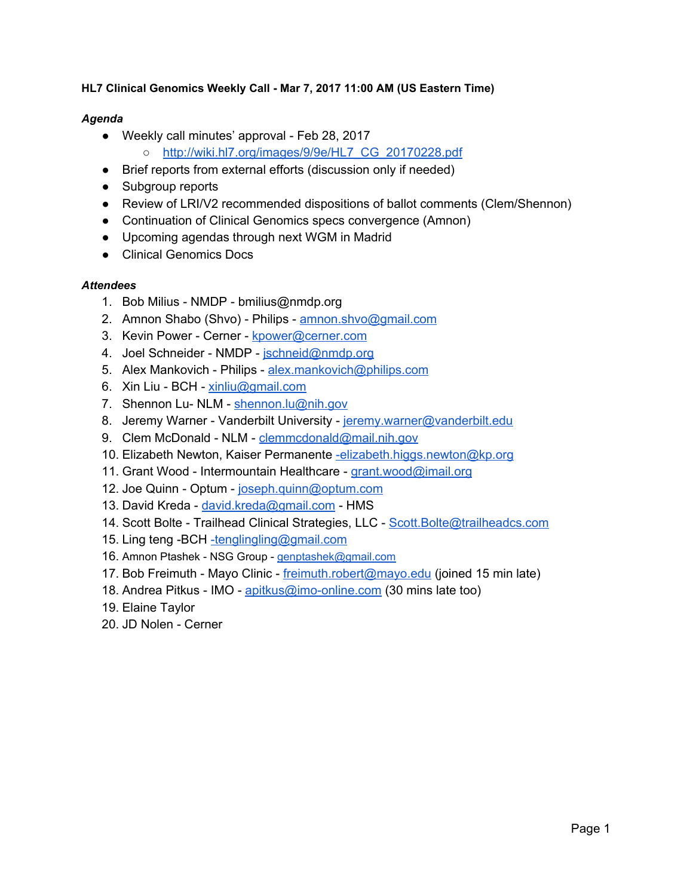#### **HL7 Clinical Genomics Weekly Call - Mar 7, 2017 11:00 AM (US Eastern Time)**

#### *Agenda*

- Weekly call minutes' approval Feb 28, 2017
	- [http://wiki.hl7.org/images/9/9e/HL7\\_CG\\_20170228.pdf](http://wiki.hl7.org/images/9/9e/HL7_CG_20170228.pdf)
- Brief reports from external efforts (discussion only if needed)
- Subgroup reports
- Review of LRI/V2 recommended dispositions of ballot comments (Clem/Shennon)
- Continuation of Clinical Genomics specs convergence (Amnon)
- Upcoming agendas through next WGM in Madrid
- Clinical Genomics Docs

#### *Attendees*

- 1. Bob Milius NMDP bmilius@nmdp.org
- 2. Amnon Shabo (Shvo) Philips - [amnon.shvo@gmail.com](mailto:amnon.shvo@gmail.com)
- 3. Kevin Power Cerner [kpower@cerner.com](mailto:kpower@cerner.com)
- 4. Joel Schneider NMDP - [jschneid@nmdp.org](mailto:jschneid@nmdp.org)
- 5. Alex Mankovich Philips - [alex.mankovich@philips.com](mailto:alex.mankovich@philips.com)
- 6. Xin Liu BCH - [xinliu@gmail.com](mailto:xinliu@gmail.com)
- 7. Shennon Lu- NLM - [shennon.lu@nih.gov](mailto:shennon.lu@nih.gov)
- 8. Jeremy Warner Vanderbilt University - [jeremy.warner@vanderbilt.edu](mailto:jeremy.warner@vanderbilt.edu)
- 9. Clem McDonald NLM [clemmcdonald@mail.nih.gov](mailto:clem.mcdonald@mail.nih.gov)
- 10. Elizabeth Newton, Kaiser Permanente [-elizabeth.higgs.newton@kp.org](mailto:-elizabeth.higgs.newton@kp.org)
- 11. Grant Wood Intermountain Healthcare - [grant.wood@imail.org](mailto:grant.wood@imail.org)
- 12. Joe Quinn Optum - [joseph.quinn@optum.com](mailto:joseph.quinn@optum.com)
- 13. David Kreda - [david.kreda@gmail.com](mailto:david.kreda@gmail.com) HMS
- 14. Scott Bolte Trailhead Clinical Strategies, LLC Scott. Bolte@trailheadcs.com
- 15. Ling teng -BCH [-tenglingling@gmail.com](mailto:-tenglingling@gmail.com)
- 16. Amnon Ptashek NSG Group - [genptashek@gmail.com](mailto:genptashek@gmail.com)
- 17. Bob Freimuth Mayo Clinic - [freimuth.robert@mayo.edu](mailto:freimuth.robert@mayo.edu) (joined 15 min late)
- 18. Andrea Pitkus IMO - [apitkus@imo-online.com](mailto:apitkus@imo-online.com) (30 mins late too)
- 19. Elaine Taylor
- 20. JD Nolen Cerner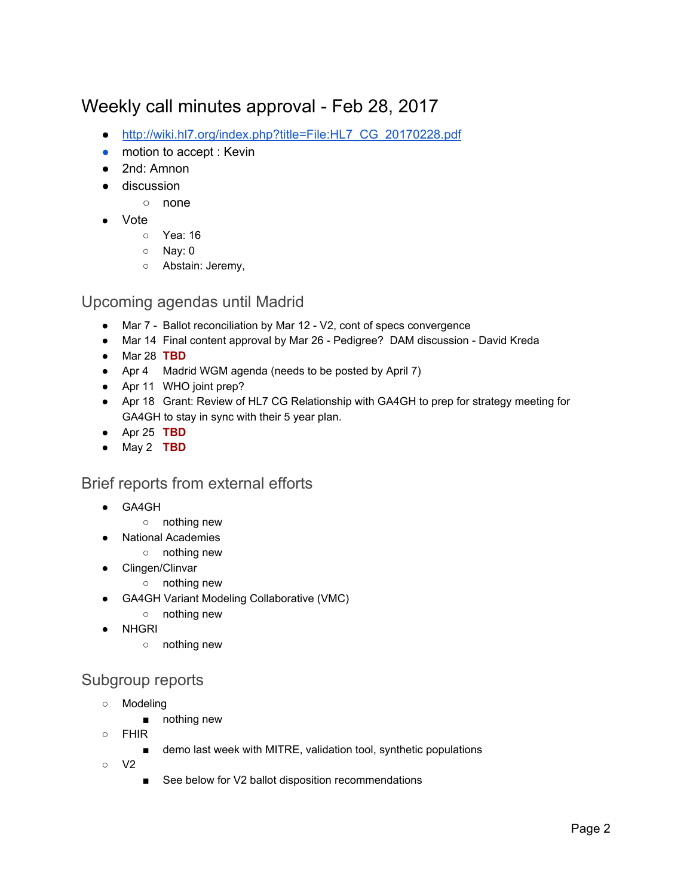# Weekly call minutes approval - Feb 28, 2017

- [http://wiki.hl7.org/index.php?title=File:HL7\\_CG\\_20170228.pdf](http://wiki.hl7.org/index.php?title=File:HL7_CG_20170228.pdf)
- motion to accept : Kevin
- 2nd: Amnon
- discussion
	- none
- **Vote** 
	- Yea: 16
	- Nay: 0
	- Abstain: Jeremy,

#### Upcoming agendas until Madrid

- Mar 7 Ballot reconciliation by Mar 12 V2, cont of specs convergence
- Mar 14 Final content approval by Mar 26 Pedigree? DAM discussion David Kreda
- Mar 28 **TBD**
- Apr 4 Madrid WGM agenda (needs to be posted by April 7)
- Apr 11 WHO joint prep?
- Apr 18 Grant: Review of HL7 CG Relationship with GA4GH to prep for strategy meeting for GA4GH to stay in sync with their 5 year plan.
- Apr 25 **TBD**
- May 2 **TBD**

#### Brief reports from external efforts

- GA4GH
	- nothing new
	- **National Academies** 
		- nothing new
- Clingen/Clinvar
	- nothing new
- GA4GH Variant Modeling Collaborative (VMC)
	- nothing new
- **NHGRI** 
	- nothing new

### Subgroup reports

- Modeling
	- nothing new
- FHIR
	- demo last week with MITRE, validation tool, synthetic populations
- V2
	- See below for V2 ballot disposition recommendations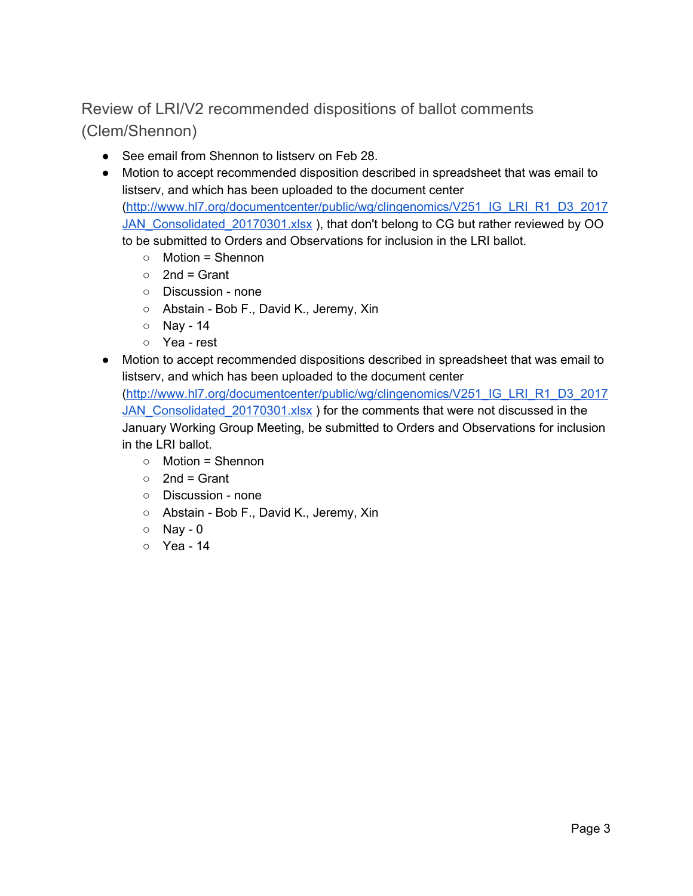### Review of LRI/V2 recommended dispositions of ballot comments (Clem/Shennon)

- See email from Shennon to listserv on Feb 28.
- Motion to accept recommended disposition described in spreadsheet that was email to listserv, and which has been uploaded to the document center [\(http://www.hl7.org/documentcenter/public/wg/clingenomics/V251\\_IG\\_LRI\\_R1\\_D3\\_2017](http://www.hl7.org/documentcenter/public/wg/clingenomics/V251_IG_LRI_R1_D3_2017JAN_Consolidated_20170301.xlsx) [JAN\\_Consolidated\\_20170301.xlsx](http://www.hl7.org/documentcenter/public/wg/clingenomics/V251_IG_LRI_R1_D3_2017JAN_Consolidated_20170301.xlsx) ), that don't belong to CG but rather reviewed by OO to be submitted to Orders and Observations for inclusion in the LRI ballot.
	- $\circ$  Motion = Shennon
	- $\circ$  2nd = Grant
	- Discussion none
	- Abstain Bob F., David K., Jeremy, Xin
	- Nay 14
	- Yea rest
- Motion to accept recommended dispositions described in spreadsheet that was email to listserv, and which has been uploaded to the document center

[\(http://www.hl7.org/documentcenter/public/wg/clingenomics/V251\\_IG\\_LRI\\_R1\\_D3\\_2017](http://www.hl7.org/documentcenter/public/wg/clingenomics/V251_IG_LRI_R1_D3_2017JAN_Consolidated_20170301.xlsx) [JAN\\_Consolidated\\_20170301.xlsx](http://www.hl7.org/documentcenter/public/wg/clingenomics/V251_IG_LRI_R1_D3_2017JAN_Consolidated_20170301.xlsx) ) for the comments that were not discussed in the January Working Group Meeting, be submitted to Orders and Observations for inclusion in the LRI ballot.

- Motion = Shennon
- $\circ$  2nd = Grant
- Discussion none
- Abstain Bob F., David K., Jeremy, Xin
- Nay 0
- Yea 14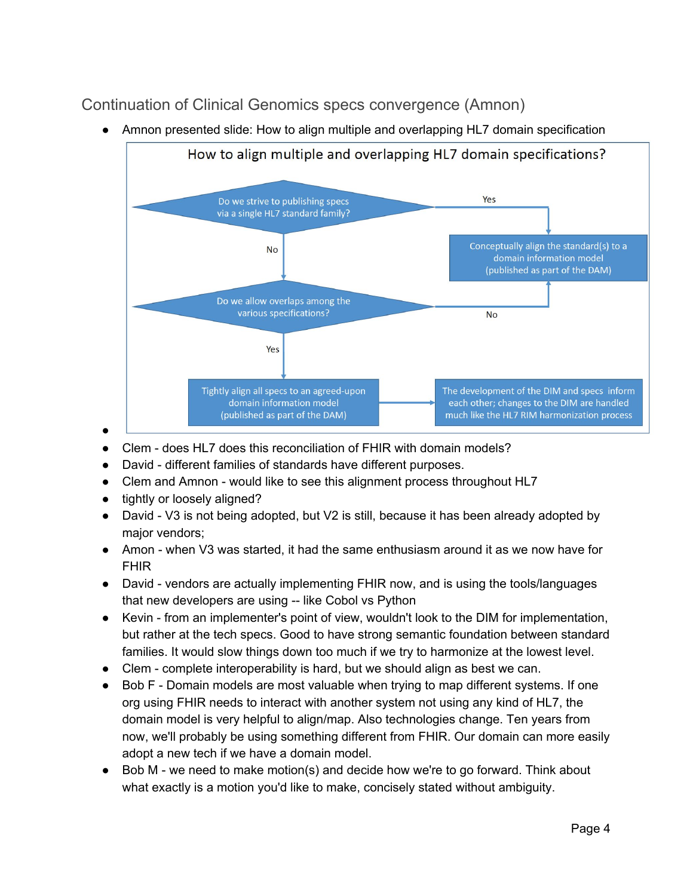### Continuation of Clinical Genomics specs convergence (Amnon)

● Amnon presented slide: How to align multiple and overlapping HL7 domain specification



- Clem does HL7 does this reconciliation of FHIR with domain models?
- David different families of standards have different purposes.
- Clem and Amnon would like to see this alignment process throughout HL7
- tightly or loosely aligned?
- David V3 is not being adopted, but V2 is still, because it has been already adopted by major vendors;
- Amon when V3 was started, it had the same enthusiasm around it as we now have for FHIR
- David vendors are actually implementing FHIR now, and is using the tools/languages that new developers are using -- like Cobol vs Python
- Kevin from an implementer's point of view, wouldn't look to the DIM for implementation, but rather at the tech specs. Good to have strong semantic foundation between standard families. It would slow things down too much if we try to harmonize at the lowest level.
- Clem complete interoperability is hard, but we should align as best we can.
- Bob F Domain models are most valuable when trying to map different systems. If one org using FHIR needs to interact with another system not using any kind of HL7, the domain model is very helpful to align/map. Also technologies change. Ten years from now, we'll probably be using something different from FHIR. Our domain can more easily adopt a new tech if we have a domain model.
- Bob M we need to make motion(s) and decide how we're to go forward. Think about what exactly is a motion you'd like to make, concisely stated without ambiguity.